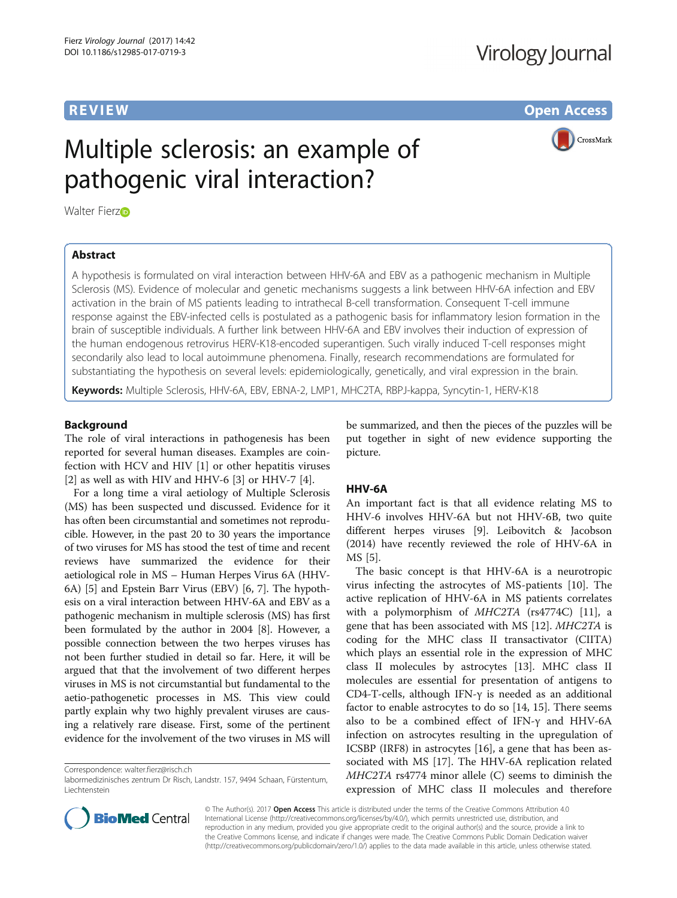## Virology Journal

**REVIEW CONSTRUCTION CONSTRUCTION CONSTRUCTS** 

CrossMark

# Multiple sclerosis: an example of pathogenic viral interaction?

Walter Fierzo

## Abstract

A hypothesis is formulated on viral interaction between HHV-6A and EBV as a pathogenic mechanism in Multiple Sclerosis (MS). Evidence of molecular and genetic mechanisms suggests a link between HHV-6A infection and EBV activation in the brain of MS patients leading to intrathecal B-cell transformation. Consequent T-cell immune response against the EBV-infected cells is postulated as a pathogenic basis for inflammatory lesion formation in the brain of susceptible individuals. A further link between HHV-6A and EBV involves their induction of expression of the human endogenous retrovirus HERV-K18-encoded superantigen. Such virally induced T-cell responses might secondarily also lead to local autoimmune phenomena. Finally, research recommendations are formulated for substantiating the hypothesis on several levels: epidemiologically, genetically, and viral expression in the brain.

Keywords: Multiple Sclerosis, HHV-6A, EBV, EBNA-2, LMP1, MHC2TA, RBPJ-kappa, Syncytin-1, HERV-K18

## Background

The role of viral interactions in pathogenesis has been reported for several human diseases. Examples are coinfection with HCV and HIV [[1\]](#page-3-0) or other hepatitis viruses [[2\]](#page-3-0) as well as with HIV and HHV-6 [[3\]](#page-3-0) or HHV-7 [[4\]](#page-3-0).

For a long time a viral aetiology of Multiple Sclerosis (MS) has been suspected und discussed. Evidence for it has often been circumstantial and sometimes not reproducible. However, in the past 20 to 30 years the importance of two viruses for MS has stood the test of time and recent reviews have summarized the evidence for their aetiological role in MS – Human Herpes Virus 6A (HHV-6A) [[5\]](#page-3-0) and Epstein Barr Virus (EBV) [\[6](#page-3-0), [7](#page-3-0)]. The hypothesis on a viral interaction between HHV-6A and EBV as a pathogenic mechanism in multiple sclerosis (MS) has first been formulated by the author in 2004 [[8\]](#page-3-0). However, a possible connection between the two herpes viruses has not been further studied in detail so far. Here, it will be argued that that the involvement of two different herpes viruses in MS is not circumstantial but fundamental to the aetio-pathogenetic processes in MS. This view could partly explain why two highly prevalent viruses are causing a relatively rare disease. First, some of the pertinent evidence for the involvement of the two viruses in MS will

Correspondence: [walter.fierz@risch.ch](mailto:walter.fierz@risch.ch)

be summarized, and then the pieces of the puzzles will be put together in sight of new evidence supporting the picture.

## HHV-6A

An important fact is that all evidence relating MS to HHV-6 involves HHV-6A but not HHV-6B, two quite different herpes viruses [[9\]](#page-3-0). Leibovitch & Jacobson (2014) have recently reviewed the role of HHV-6A in MS [[5\]](#page-3-0).

The basic concept is that HHV-6A is a neurotropic virus infecting the astrocytes of MS-patients [[10](#page-3-0)]. The active replication of HHV-6A in MS patients correlates with a polymorphism of MHC2TA (rs4774C) [\[11\]](#page-3-0), a gene that has been associated with MS [[12](#page-3-0)]. MHC2TA is coding for the MHC class II transactivator (CIITA) which plays an essential role in the expression of MHC class II molecules by astrocytes [[13](#page-3-0)]. MHC class II molecules are essential for presentation of antigens to CD4-T-cells, although IFN-γ is needed as an additional factor to enable astrocytes to do so [\[14, 15\]](#page-3-0). There seems also to be a combined effect of IFN-γ and HHV-6A infection on astrocytes resulting in the upregulation of ICSBP (IRF8) in astrocytes [[16](#page-3-0)], a gene that has been associated with MS [\[17\]](#page-3-0). The HHV-6A replication related MHC2TA rs4774 minor allele (C) seems to diminish the expression of MHC class II molecules and therefore



© The Author(s). 2017 Open Access This article is distributed under the terms of the Creative Commons Attribution 4.0 International License [\(http://creativecommons.org/licenses/by/4.0/](http://creativecommons.org/licenses/by/4.0/)), which permits unrestricted use, distribution, and reproduction in any medium, provided you give appropriate credit to the original author(s) and the source, provide a link to the Creative Commons license, and indicate if changes were made. The Creative Commons Public Domain Dedication waiver [\(http://creativecommons.org/publicdomain/zero/1.0/](http://creativecommons.org/publicdomain/zero/1.0/)) applies to the data made available in this article, unless otherwise stated.

labormedizinisches zentrum Dr Risch, Landstr. 157, 9494 Schaan, Fürstentum, Liechtenstein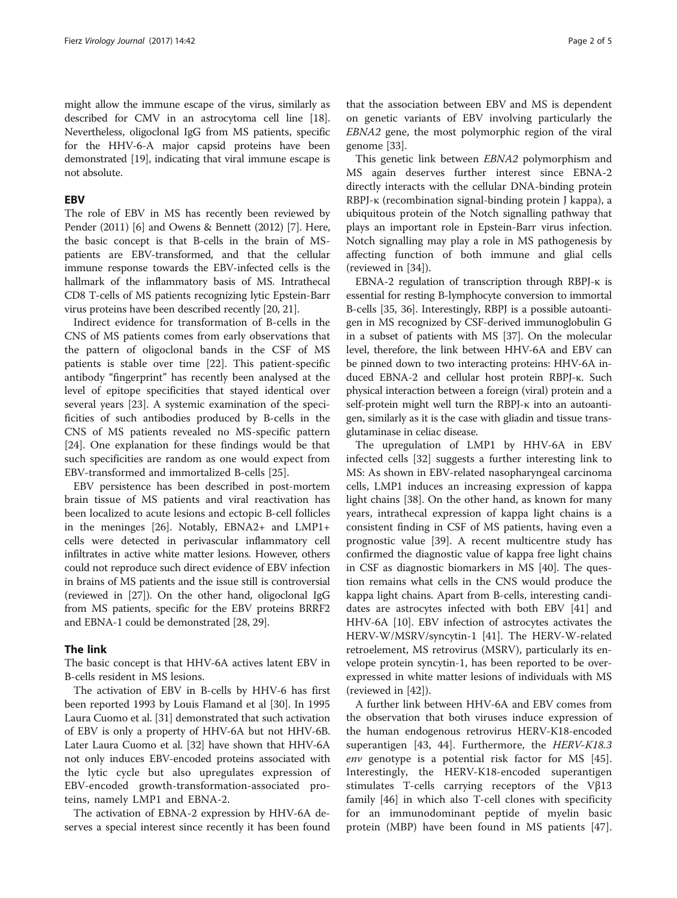might allow the immune escape of the virus, similarly as described for CMV in an astrocytoma cell line [[18](#page-3-0)]. Nevertheless, oligoclonal IgG from MS patients, specific for the HHV-6-A major capsid proteins have been demonstrated [\[19\]](#page-3-0), indicating that viral immune escape is not absolute.

## EBV

The role of EBV in MS has recently been reviewed by Pender (2011) [[6](#page-3-0)] and Owens & Bennett (2012) [[7](#page-3-0)]. Here, the basic concept is that B-cells in the brain of MSpatients are EBV-transformed, and that the cellular immune response towards the EBV-infected cells is the hallmark of the inflammatory basis of MS. Intrathecal CD8 T-cells of MS patients recognizing lytic Epstein-Barr virus proteins have been described recently [\[20](#page-3-0), [21](#page-3-0)].

Indirect evidence for transformation of B-cells in the CNS of MS patients comes from early observations that the pattern of oligoclonal bands in the CSF of MS patients is stable over time [[22](#page-3-0)]. This patient-specific antibody "fingerprint" has recently been analysed at the level of epitope specificities that stayed identical over several years [[23\]](#page-3-0). A systemic examination of the specificities of such antibodies produced by B-cells in the CNS of MS patients revealed no MS-specific pattern [[24\]](#page-3-0). One explanation for these findings would be that such specificities are random as one would expect from EBV-transformed and immortalized B-cells [\[25](#page-3-0)].

EBV persistence has been described in post-mortem brain tissue of MS patients and viral reactivation has been localized to acute lesions and ectopic B-cell follicles in the meninges [\[26](#page-3-0)]. Notably, EBNA2+ and LMP1+ cells were detected in perivascular inflammatory cell infiltrates in active white matter lesions. However, others could not reproduce such direct evidence of EBV infection in brains of MS patients and the issue still is controversial (reviewed in [[27\]](#page-3-0)). On the other hand, oligoclonal IgG from MS patients, specific for the EBV proteins BRRF2 and EBNA-1 could be demonstrated [\[28, 29\]](#page-3-0).

### The link

The basic concept is that HHV-6A actives latent EBV in B-cells resident in MS lesions.

The activation of EBV in B-cells by HHV-6 has first been reported 1993 by Louis Flamand et al [[30\]](#page-3-0). In 1995 Laura Cuomo et al. [\[31\]](#page-3-0) demonstrated that such activation of EBV is only a property of HHV-6A but not HHV-6B. Later Laura Cuomo et al. [\[32](#page-3-0)] have shown that HHV-6A not only induces EBV-encoded proteins associated with the lytic cycle but also upregulates expression of EBV-encoded growth-transformation-associated proteins, namely LMP1 and EBNA-2.

The activation of EBNA-2 expression by HHV-6A deserves a special interest since recently it has been found

that the association between EBV and MS is dependent on genetic variants of EBV involving particularly the EBNA2 gene, the most polymorphic region of the viral genome [\[33\]](#page-3-0).

This genetic link between EBNA2 polymorphism and MS again deserves further interest since EBNA-2 directly interacts with the cellular DNA-binding protein RBPJ-κ (recombination signal-binding protein J kappa), a ubiquitous protein of the Notch signalling pathway that plays an important role in Epstein-Barr virus infection. Notch signalling may play a role in MS pathogenesis by affecting function of both immune and glial cells (reviewed in [\[34\]](#page-3-0)).

EBNA-2 regulation of transcription through RBPJ-κ is essential for resting B-lymphocyte conversion to immortal B-cells [[35](#page-3-0), [36](#page-3-0)]. Interestingly, RBPJ is a possible autoantigen in MS recognized by CSF-derived immunoglobulin G in a subset of patients with MS [[37](#page-3-0)]. On the molecular level, therefore, the link between HHV-6A and EBV can be pinned down to two interacting proteins: HHV-6A induced EBNA-2 and cellular host protein RBPJ-κ. Such physical interaction between a foreign (viral) protein and a self-protein might well turn the RBPJ-κ into an autoantigen, similarly as it is the case with gliadin and tissue transglutaminase in celiac disease.

The upregulation of LMP1 by HHV-6A in EBV infected cells [[32](#page-3-0)] suggests a further interesting link to MS: As shown in EBV-related nasopharyngeal carcinoma cells, LMP1 induces an increasing expression of kappa light chains [\[38](#page-3-0)]. On the other hand, as known for many years, intrathecal expression of kappa light chains is a consistent finding in CSF of MS patients, having even a prognostic value [[39](#page-3-0)]. A recent multicentre study has confirmed the diagnostic value of kappa free light chains in CSF as diagnostic biomarkers in MS [\[40\]](#page-3-0). The question remains what cells in the CNS would produce the kappa light chains. Apart from B-cells, interesting candidates are astrocytes infected with both EBV [\[41](#page-4-0)] and HHV-6A [\[10\]](#page-3-0). EBV infection of astrocytes activates the HERV-W/MSRV/syncytin-1 [[41](#page-4-0)]. The HERV-W-related retroelement, MS retrovirus (MSRV), particularly its envelope protein syncytin-1, has been reported to be overexpressed in white matter lesions of individuals with MS (reviewed in [[42\]](#page-4-0)).

A further link between HHV-6A and EBV comes from the observation that both viruses induce expression of the human endogenous retrovirus HERV-K18-encoded superantigen [\[43](#page-4-0), [44](#page-4-0)]. Furthermore, the *HERV-K18.3* env genotype is a potential risk factor for MS [\[45](#page-4-0)]. Interestingly, the HERV-K18-encoded superantigen stimulates T-cells carrying receptors of the Vβ13 family [[46\]](#page-4-0) in which also T-cell clones with specificity for an immunodominant peptide of myelin basic protein (MBP) have been found in MS patients [\[47](#page-4-0)].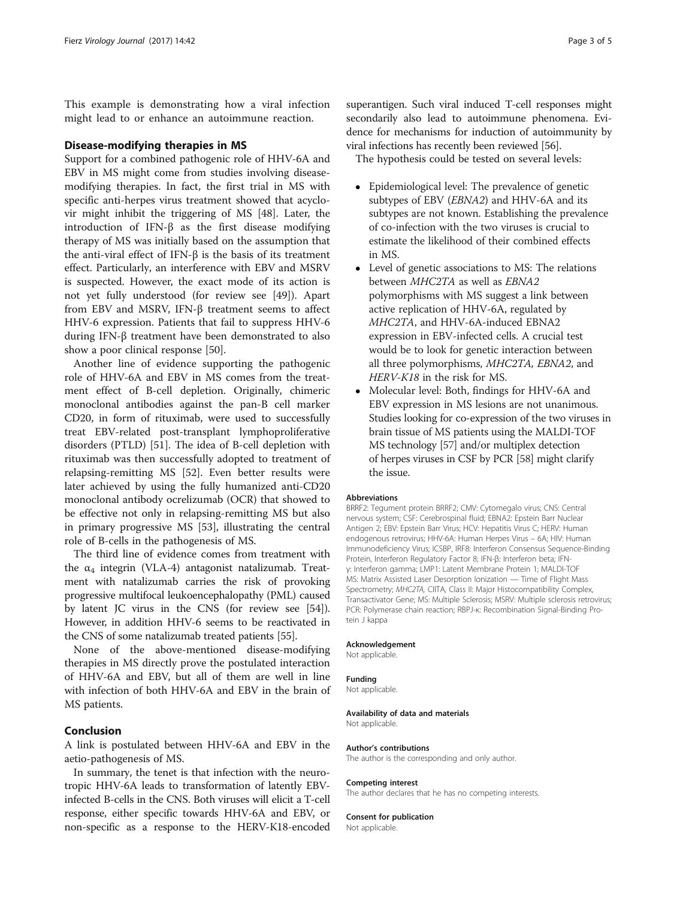This example is demonstrating how a viral infection might lead to or enhance an autoimmune reaction.

#### Disease-modifying therapies in MS

Support for a combined pathogenic role of HHV-6A and EBV in MS might come from studies involving diseasemodifying therapies. In fact, the first trial in MS with specific anti-herpes virus treatment showed that acyclovir might inhibit the triggering of MS [[48\]](#page-4-0). Later, the introduction of IFN-β as the first disease modifying therapy of MS was initially based on the assumption that the anti-viral effect of IFN-β is the basis of its treatment effect. Particularly, an interference with EBV and MSRV is suspected. However, the exact mode of its action is not yet fully understood (for review see [\[49\]](#page-4-0)). Apart from EBV and MSRV, IFN-β treatment seems to affect HHV-6 expression. Patients that fail to suppress HHV-6 during IFN-β treatment have been demonstrated to also show a poor clinical response [[50\]](#page-4-0).

Another line of evidence supporting the pathogenic role of HHV-6A and EBV in MS comes from the treatment effect of B-cell depletion. Originally, chimeric monoclonal antibodies against the pan-B cell marker CD20, in form of rituximab, were used to successfully treat EBV-related post-transplant lymphoproliferative disorders (PTLD) [\[51\]](#page-4-0). The idea of B-cell depletion with rituximab was then successfully adopted to treatment of relapsing-remitting MS [\[52](#page-4-0)]. Even better results were later achieved by using the fully humanized anti-CD20 monoclonal antibody ocrelizumab (OCR) that showed to be effective not only in relapsing-remitting MS but also in primary progressive MS [\[53](#page-4-0)], illustrating the central role of B-cells in the pathogenesis of MS.

The third line of evidence comes from treatment with the  $\alpha_4$  integrin (VLA-4) antagonist natalizumab. Treatment with natalizumab carries the risk of provoking progressive multifocal leukoencephalopathy (PML) caused by latent JC virus in the CNS (for review see [[54](#page-4-0)]). However, in addition HHV-6 seems to be reactivated in the CNS of some natalizumab treated patients [[55](#page-4-0)].

None of the above-mentioned disease-modifying therapies in MS directly prove the postulated interaction of HHV-6A and EBV, but all of them are well in line with infection of both HHV-6A and EBV in the brain of MS patients.

## Conclusion

A link is postulated between HHV-6A and EBV in the aetio-pathogenesis of MS.

In summary, the tenet is that infection with the neurotropic HHV-6A leads to transformation of latently EBVinfected B-cells in the CNS. Both viruses will elicit a T-cell response, either specific towards HHV-6A and EBV, or non-specific as a response to the HERV-K18-encoded

superantigen. Such viral induced T-cell responses might secondarily also lead to autoimmune phenomena. Evidence for mechanisms for induction of autoimmunity by viral infections has recently been reviewed [\[56\]](#page-4-0).

The hypothesis could be tested on several levels:

- Epidemiological level: The prevalence of genetic subtypes of EBV (*EBNA2*) and HHV-6A and its subtypes are not known. Establishing the prevalence of co-infection with the two viruses is crucial to estimate the likelihood of their combined effects in MS.
- Level of genetic associations to MS: The relations between MHC2TA as well as EBNA2 polymorphisms with MS suggest a link between active replication of HHV-6A, regulated by MHC2TA, and HHV-6A-induced EBNA2 expression in EBV-infected cells. A crucial test would be to look for genetic interaction between all three polymorphisms, MHC2TA, EBNA2, and HERV-K18 in the risk for MS.
- Molecular level: Both, findings for HHV-6A and EBV expression in MS lesions are not unanimous. Studies looking for co-expression of the two viruses in brain tissue of MS patients using the MALDI-TOF MS technology [\[57](#page-4-0)] and/or multiplex detection of herpes viruses in CSF by PCR [\[58\]](#page-4-0) might clarify the issue.

#### Abbreviations

BRRF2: Tegument protein BRRF2; CMV: Cytomegalo virus; CNS: Central nervous system; CSF: Cerebrospinal fluid; EBNA2: Epstein Barr Nuclear Antigen 2; EBV: Epstein Barr Virus; HCV: Hepatitis Virus C; HERV: Human endogenous retrovirus; HHV-6A: Human Herpes Virus – 6A; HIV: Human Immunodeficiency Virus; ICSBP, IRF8: Interferon Consensus Sequence-Binding Protein, Interferon Regulatory Factor 8; IFN-β: Interferon beta; IFNγ: Interferon gamma; LMP1: Latent Membrane Protein 1; MALDI-TOF MS: Matrix Assisted Laser Desorption Ionization — Time of Flight Mass Spectrometry; MHC2TA, CIITA, Class II: Major Histocompatibility Complex, Transactivator Gene; MS: Multiple Sclerosis; MSRV: Multiple sclerosis retrovirus; PCR: Polymerase chain reaction; RBPJ-κ: Recombination Signal-Binding Protein J kappa

#### Acknowledgement

Not applicable.

#### Funding

Not applicable.

Availability of data and materials Not applicable.

#### Author's contributions

The author is the corresponding and only author.

## Competing interest

The author declares that he has no competing interests.

#### Consent for publication

Not applicable.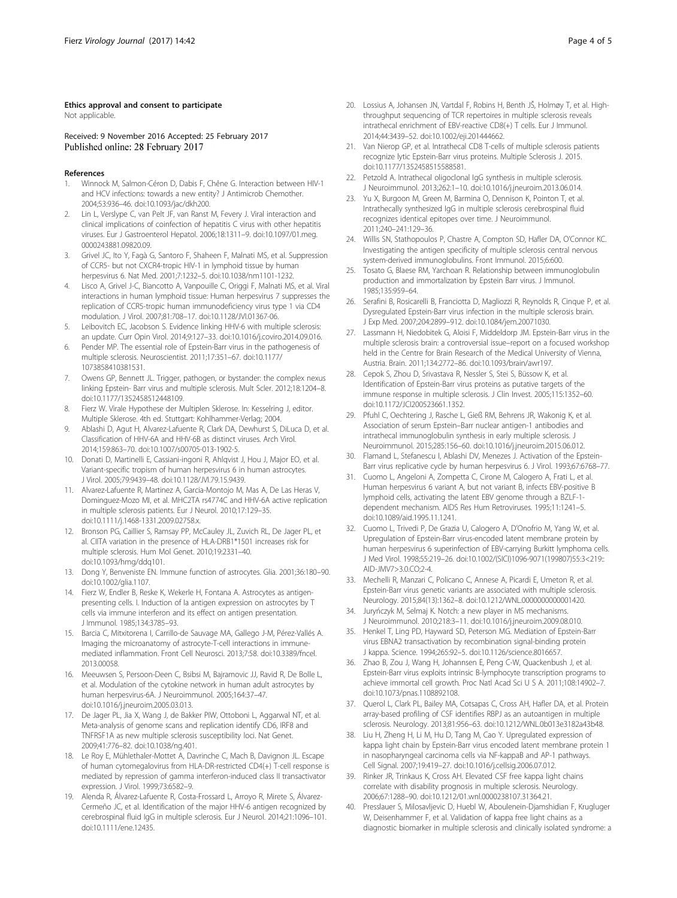## <span id="page-3-0"></span>Ethics approval and consent to participate

Not applicable.

Received: 9 November 2016 Accepted: 25 February 2017 Published online: 28 February 2017

#### References

- 1. Winnock M, Salmon-Céron D, Dabis F, Chêne G. Interaction between HIV-1 and HCV infections: towards a new entity? J Antimicrob Chemother. 2004;53:936–46. doi:[10.1093/jac/dkh200.](http://dx.doi.org/10.1093/jac/dkh200)
- 2. Lin L, Verslype C, van Pelt JF, van Ranst M, Fevery J. Viral interaction and clinical implications of coinfection of hepatitis C virus with other hepatitis viruses. Eur J Gastroenterol Hepatol. 2006;18:1311–9. doi[:10.1097/01.meg.](http://dx.doi.org/10.1097/01.meg.0000243881.09820.09) [0000243881.09820.09](http://dx.doi.org/10.1097/01.meg.0000243881.09820.09).
- 3. Grivel JC, Ito Y, Fagà G, Santoro F, Shaheen F, Malnati MS, et al. Suppression of CCR5- but not CXCR4-tropic HIV-1 in lymphoid tissue by human herpesvirus 6. Nat Med. 2001;7:1232–5. doi:[10.1038/nm1101-1232.](http://dx.doi.org/10.1038/nm1101-1232)
- 4. Lisco A, Grivel J-C, Biancotto A, Vanpouille C, Origgi F, Malnati MS, et al. Viral interactions in human lymphoid tissue: Human herpesvirus 7 suppresses the replication of CCR5-tropic human immunodeficiency virus type 1 via CD4 modulation. J Virol. 2007;81:708–17. doi[:10.1128/JVI.01367-06](http://dx.doi.org/10.1128/JVI.01367-06).
- 5. Leibovitch EC, Jacobson S. Evidence linking HHV-6 with multiple sclerosis: an update. Curr Opin Virol. 2014;9:127–33. doi:[10.1016/j.coviro.2014.09.016](http://dx.doi.org/10.1016/j.coviro.2014.09.016).
- Pender MP. The essential role of Epstein-Barr virus in the pathogenesis of multiple sclerosis. Neuroscientist. 2011;17:351–67. doi[:10.1177/](http://dx.doi.org/10.1177/1073858410381531) [1073858410381531](http://dx.doi.org/10.1177/1073858410381531).
- 7. Owens GP, Bennett JL. Trigger, pathogen, or bystander: the complex nexus linking Epstein- Barr virus and multiple sclerosis. Mult Scler. 2012;18:1204–8. doi[:10.1177/1352458512448109.](http://dx.doi.org/10.1177/1352458512448109)
- 8. Fierz W. Virale Hypothese der Multiplen Sklerose. In: Kesselring J, editor. Multiple Sklerose. 4th ed. Stuttgart: Kohlhammer-Verlag; 2004.
- 9. Ablashi D, Agut H, Alvarez-Lafuente R, Clark DA, Dewhurst S, DiLuca D, et al. Classification of HHV-6A and HHV-6B as distinct viruses. Arch Virol. 2014;159:863–70. doi[:10.1007/s00705-013-1902-5.](http://dx.doi.org/10.1007/s00705-013-1902-5)
- 10. Donati D, Martinelli E, Cassiani-ingoni R, Ahlqvist J, Hou J, Major EO, et al. Variant-specific tropism of human herpesvirus 6 in human astrocytes. J Virol. 2005;79:9439–48. doi:[10.1128/JVI.79.15.9439.](http://dx.doi.org/10.1128/JVI.79.15.9439)
- 11. Alvarez-Lafuente R, Martinez A, Garcia-Montojo M, Mas A, De Las Heras V, Dominguez-Mozo MI, et al. MHC2TA rs4774C and HHV-6A active replication in multiple sclerosis patients. Eur J Neurol. 2010;17:129–35. doi[:10.1111/j.1468-1331.2009.02758.x](http://dx.doi.org/10.1111/j.1468-1331.2009.02758.x).
- 12. Bronson PG, Caillier S, Ramsay PP, McCauley JL, Zuvich RL, De Jager PL, et al. CIITA variation in the presence of HLA-DRB1\*1501 increases risk for multiple sclerosis. Hum Mol Genet. 2010;19:2331–40. doi[:10.1093/hmg/ddq101.](http://dx.doi.org/10.1093/hmg/ddq101)
- 13. Dong Y, Benveniste EN. Immune function of astrocytes. Glia. 2001;36:180–90. doi[:10.1002/glia.1107.](http://dx.doi.org/10.1002/glia.1107)
- 14. Fierz W, Endler B, Reske K, Wekerle H, Fontana A. Astrocytes as antigenpresenting cells. I. Induction of Ia antigen expression on astrocytes by T cells via immune interferon and its effect on antigen presentation. J Immunol. 1985;134:3785–93.
- 15. Barcia C, Mitxitorena I, Carrillo-de Sauvage MA, Gallego J-M, Pérez-Vallés A. Imaging the microanatomy of astrocyte-T-cell interactions in immunemediated inflammation. Front Cell Neurosci. 2013;7:58. doi:[10.3389/fncel.](http://dx.doi.org/10.3389/fncel.2013.00058) [2013.00058.](http://dx.doi.org/10.3389/fncel.2013.00058)
- 16. Meeuwsen S, Persoon-Deen C, Bsibsi M, Bajramovic JJ, Ravid R, De Bolle L, et al. Modulation of the cytokine network in human adult astrocytes by human herpesvirus-6A. J Neuroimmunol. 2005;164:37–47. doi[:10.1016/j.jneuroim.2005.03.013.](http://dx.doi.org/10.1016/j.jneuroim.2005.03.013)
- 17. De Jager PL, Jia X, Wang J, de Bakker PIW, Ottoboni L, Aggarwal NT, et al. Meta-analysis of genome scans and replication identify CD6, IRF8 and TNFRSF1A as new multiple sclerosis susceptibility loci. Nat Genet. 2009;41:776–82. doi:[10.1038/ng.401.](http://dx.doi.org/10.1038/ng.401)
- 18. Le Roy E, Mühlethaler-Mottet A, Davrinche C, Mach B, Davignon JL. Escape of human cytomegalovirus from HLA-DR-restricted CD4(+) T-cell response is mediated by repression of gamma interferon-induced class II transactivator expression. J Virol. 1999;73:6582–9.
- 19. Alenda R, Álvarez-Lafuente R, Costa-Frossard L, Arroyo R, Mirete S, Álvarez-Cermeño JC, et al. Identification of the major HHV-6 antigen recognized by cerebrospinal fluid IgG in multiple sclerosis. Eur J Neurol. 2014;21:1096–101. doi[:10.1111/ene.12435.](http://dx.doi.org/10.1111/ene.12435)
- 20. Lossius A, Johansen JN, Vartdal F, Robins H, Benth JŠ, Holmøy T, et al. Highthroughput sequencing of TCR repertoires in multiple sclerosis reveals intrathecal enrichment of EBV-reactive CD8(+) T cells. Eur J Immunol. 2014;44:3439–52. doi[:10.1002/eji.201444662.](http://dx.doi.org/10.1002/eji.201444662)
- 21. Van Nierop GP, et al. Intrathecal CD8 T-cells of multiple sclerosis patients recognize lytic Epstein-Barr virus proteins. Multiple Sclerosis J. 2015. doi[:10.1177/1352458515588581.](http://dx.doi.org/10.1177/1352458515588581)
- 22. Petzold A. Intrathecal oligoclonal IgG synthesis in multiple sclerosis. J Neuroimmunol. 2013;262:1–10. doi:[10.1016/j.jneuroim.2013.06.014](http://dx.doi.org/10.1016/j.jneuroim.2013.06.014).
- 23. Yu X, Burgoon M, Green M, Barmina O, Dennison K, Pointon T, et al. Intrathecally synthesized IgG in multiple sclerosis cerebrospinal fluid recognizes identical epitopes over time. J Neuroimmunol. 2011;240–241:129–36.
- 24. Willis SN, Stathopoulos P, Chastre A, Compton SD, Hafler DA, O'Connor KC. Investigating the antigen specificity of multiple sclerosis central nervous system-derived immunoglobulins. Front Immunol. 2015;6:600.
- 25. Tosato G, Blaese RM, Yarchoan R. Relationship between immunoglobulin production and immortalization by Epstein Barr virus. J Immunol. 1985;135:959–64.
- 26. Serafini B, Rosicarelli B, Franciotta D, Magliozzi R, Reynolds R, Cinque P, et al. Dysregulated Epstein-Barr virus infection in the multiple sclerosis brain. J Exp Med. 2007;204:2899–912. doi[:10.1084/jem.20071030](http://dx.doi.org/10.1084/jem.20071030).
- 27. Lassmann H, Niedobitek G, Aloisi F, Middeldorp JM. Epstein-Barr virus in the multiple sclerosis brain: a controversial issue–report on a focused workshop held in the Centre for Brain Research of the Medical University of Vienna, Austria. Brain. 2011;134:2772–86. doi:[10.1093/brain/awr197](http://dx.doi.org/10.1093/brain/awr197).
- 28. Cepok S, Zhou D, Srivastava R, Nessler S, Stei S, Büssow K, et al. Identification of Epstein-Barr virus proteins as putative targets of the immune response in multiple sclerosis. J Clin Invest. 2005;115:1352–60. doi[:10.1172/JCI200523661.1352.](http://dx.doi.org/10.1172/JCI200523661.1352)
- 29. Pfuhl C, Oechtering J, Rasche L, Gieß RM, Behrens JR, Wakonig K, et al. Association of serum Epstein–Barr nuclear antigen-1 antibodies and intrathecal immunoglobulin synthesis in early multiple sclerosis. J Neuroimmunol. 2015;285:156–60. doi:[10.1016/j.jneuroim.2015.06.012](http://dx.doi.org/10.1016/j.jneuroim.2015.06.012).
- 30. Flamand L, Stefanescu I, Ablashi DV, Menezes J. Activation of the Epstein-Barr virus replicative cycle by human herpesvirus 6. J Virol. 1993;67:6768–77.
- 31. Cuomo L, Angeloni A, Zompetta C, Cirone M, Calogero A, Frati L, et al. Human herpesvirus 6 variant A, but not variant B, infects EBV-positive B lymphoid cells, activating the latent EBV genome through a BZLF-1 dependent mechanism. AIDS Res Hum Retroviruses. 1995;11:1241–5. doi[:10.1089/aid.1995.11.1241](http://dx.doi.org/10.1089/aid.1995.11.1241).
- 32. Cuomo L, Trivedi P, De Grazia U, Calogero A, D'Onofrio M, Yang W, et al. Upregulation of Epstein-Barr virus-encoded latent membrane protein by human herpesvirus 6 superinfection of EBV-carrying Burkitt lymphoma cells. J Med Virol. 1998;55:219–26. doi[:10.1002/\(SICI\)1096-9071\(199807\)55:3<219::](http://dx.doi.org/10.1002/(SICI)1096-9071(199807)55:3%3C219::AID-JMV7%3E3.0.CO;2-4) [AID-JMV7>3.0.CO;2-4](http://dx.doi.org/10.1002/(SICI)1096-9071(199807)55:3%3C219::AID-JMV7%3E3.0.CO;2-4).
- 33. Mechelli R, Manzari C, Policano C, Annese A, Picardi E, Umeton R, et al. Epstein-Barr virus genetic variants are associated with multiple sclerosis. Neurology. 2015;84(13):1362–8. doi[:10.1212/WNL.0000000000001420.](http://dx.doi.org/10.1212/WNL.0000000000001420)
- 34. Juryńczyk M, Selmaj K. Notch: a new player in MS mechanisms. J Neuroimmunol. 2010;218:3–11. doi:[10.1016/j.jneuroim.2009.08.010](http://dx.doi.org/10.1016/j.jneuroim.2009.08.010).
- 35. Henkel T, Ling PD, Hayward SD, Peterson MG. Mediation of Epstein-Barr virus EBNA2 transactivation by recombination signal-binding protein J kappa. Science. 1994;265:92–5. doi[:10.1126/science.8016657](http://dx.doi.org/10.1126/science.8016657).
- 36. Zhao B, Zou J, Wang H, Johannsen E, Peng C-W, Quackenbush J, et al. Epstein-Barr virus exploits intrinsic B-lymphocyte transcription programs to achieve immortal cell growth. Proc Natl Acad Sci U S A. 2011;108:14902–7. doi[:10.1073/pnas.1108892108.](http://dx.doi.org/10.1073/pnas.1108892108)
- 37. Querol L, Clark PL, Bailey MA, Cotsapas C, Cross AH, Hafler DA, et al. Protein array-based profiling of CSF identifies RBPJ as an autoantigen in multiple sclerosis. Neurology. 2013;81:956–63. doi[:10.1212/WNL.0b013e3182a43b48](http://dx.doi.org/10.1212/WNL.0b013e3182a43b48).
- 38. Liu H, Zheng H, Li M, Hu D, Tang M, Cao Y. Upregulated expression of kappa light chain by Epstein-Barr virus encoded latent membrane protein 1 in nasopharyngeal carcinoma cells via NF-kappaB and AP-1 pathways. Cell Signal. 2007;19:419–27. doi:[10.1016/j.cellsig.2006.07.012](http://dx.doi.org/10.1016/j.cellsig.2006.07.012).
- 39. Rinker JR, Trinkaus K, Cross AH. Elevated CSF free kappa light chains correlate with disability prognosis in multiple sclerosis. Neurology. 2006;67:1288–90. doi[:10.1212/01.wnl.0000238107.31364.21](http://dx.doi.org/10.1212/01.wnl.0000238107.31364.21).
- 40. Presslauer S, Milosavljevic D, Huebl W, Aboulenein-Djamshidian F, Krugluger W, Deisenhammer F, et al. Validation of kappa free light chains as a diagnostic biomarker in multiple sclerosis and clinically isolated syndrome: a